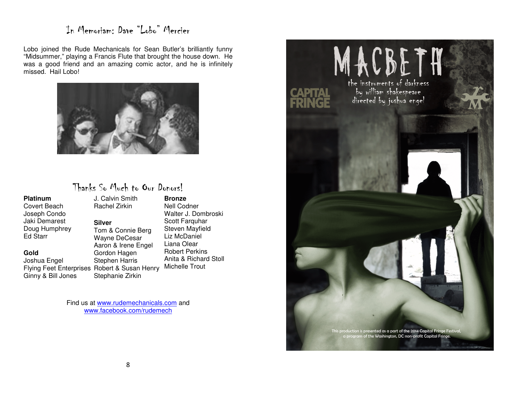### In Memoriam: Dave "Lobo" Mercier

Lobo joined the Rude Mechanicals for Sean Butler's brilliantly funny "Midsummer," playing a Francis Flute that brought the house down. He was a good friend and an amazing comic actor, and he is infinitely missed. Hail Lobo!



#### Thanks So Much to Our Donors!

**Platinum** Covert Beach Joseph Condo Jaki Demarest Doug Humphrey Ed Starr

#### **Gold**

 Joshua Engel Flying Feet Enterprises Robert & Susan Henry Michelle Trout Ginny & Bill Jones

J. Calvin Smith Rachel Zirkin **Silver** Tom & Connie Berg Wayne DeCesar Aaron & Irene Engel Gordon Hagen

Stephen Harris

Stephanie Zirkin

 **Bronze** Nell Codner Walter J. Dombroski Scott Farquhar Steven Mayfield Liz McDaniel Liana Olear Robert Perkins Anita & Richard Stoll

Find us at www.rudemechanicals.com and www.facebook.com/rudemech

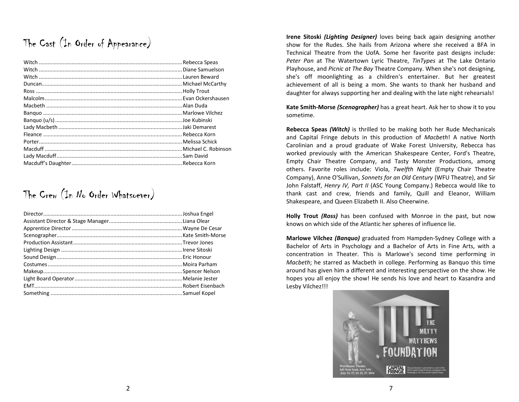# The Cast (In Order of Appearance)

## The Crew (In No Order Whatsoever)

Irene Sitoski *(Lighting Designer)* loves being back again designing another show for the Rudes. She hails from Arizona where she received a BFA in Technical Theatre from the UofA. Some her favorite past designs include: Peter Pan at The Watertown Lyric Theatre, TinTypes at The Lake Ontario Playhouse, and Picnic at The Bay Theatre Company. When she's not designing, she's off moonlighting as a children's entertainer. But her greatest achievement of all is being a mom. She wants to thank her husband and daughter for always supporting her and dealing with the late night rehearsals!

Kate Smith-Morse (Scenographer) has a great heart. Ask her to show it to you sometime.

Rebecca Speas (Witch) is thrilled to be making both her Rude Mechanicalsand Capital Fringe debuts in this production of Macbeth! A native North Carolinian and a proud graduate of Wake Forest University, Rebecca has worked previously with the American Shakespeare Center, Ford's Theatre, Empty Chair Theatre Company, and Tasty Monster Productions, among others. Favorite roles include: Viola, Twelfth Night (Empty Chair Theatre Company), Anne O'Sullivan, Sonnets for an Old Century (WFU Theatre), and Sir John Falstaff, Henry IV, Part II (ASC Young Company.) Rebecca would like to thank cast and crew, friends and family, Quill and Eleanor, William Shakespeare, and Queen Elizabeth II. Also Cheerwine.

Holly Trout *(Ross)* has been confused with Monroe in the past, but now knows on which side of the Atlantic her spheres of influence lie.

Marlowe Vilchez (Banquo) graduated from Hampden-Sydney College with a Bachelor of Arts in Psychology and a Bachelor of Arts in Fine Arts, with a concentration in Theater. This is Marlowe's second time performing in Macbeth; he starred as Macbeth in college. Performing as Banquo this time around has given him a different and interesting perspective on the show. He hopes you all enjoy the show! He sends his love and heart to Kasandra and Lesby Vilchez!!!

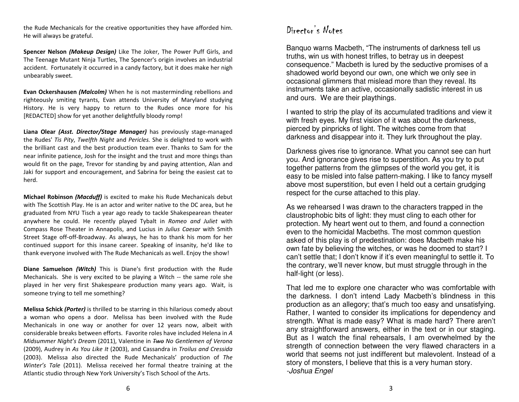the Rude Mechanicals for the creative opportunities they have afforded him. He will always be grateful.

Spencer Nelson (Makeup Design) Like The Joker, The Power Puff Girls, and The Teenage Mutant Ninja Turtles, The Spencer's origin involves an industrial accident. Fortunately it occurred in a candy factory, but it does make her nigh unbearably sweet.

Evan Ockershausen (Malcolm) When he is not masterminding rebellions and righteously smiting tyrants, Evan attends University of Maryland studying History. He is very happy to return to the Rudes once more for his [REDACTED] show for yet another delightfully bloody romp!

Liana Olear *(Asst. Director/Stage Manager)* has previously stage-managed the Rudes' Tis Pity, Twelfth Night and Pericles. She is delighted to work with the brilliant cast and the best production team ever. Thanks to Sam for the near infinite patience, Josh for the insight and the trust and more things than would fit on the page, Trevor for standing by and paying attention, Alan and Jaki for support and encouragement, and Sabrina for being the easiest cat to herd.

Michael Robinson (Macduff) is excited to make his Rude Mechanicals debut with The Scottish Play. He is an actor and writer native to the DC area, but he graduated from NYU Tisch a year ago ready to tackle Shakespearean theater anywhere he could. He recently played Tybalt in Romeo and Juliet with Compass Rose Theater in Annapolis, and Lucius in Julius Caesar with Smith Street Stage off-off-Broadway. As always, he has to thank his mom for her continued support for this insane career. Speaking of insanity, he'd like to thank everyone involved with The Rude Mechanicals as well. Enjoy the show!

Diane Samuelson (Witch) This is Diane's first production with the Rude Mechanicals. She is very excited to be playing a Witch -- the same role she played in her very first Shakespeare production many years ago. Wait, is someone trying to tell me something?

Melissa Schick (Porter) is thrilled to be starring in this hilarious comedy about a woman who opens a door. Melissa has been involved with the Rude Mechanicals in one way or another for over 12 years now, albeit with considerable breaks between efforts. Favorite roles have included Helena in A Midsummer Night's Dream (2011), Valentine in Two No Gentlemen of Verona (2009), Audrey in As You Like It (2003), and Cassandra in Troilus and Cressida (2003). Melissa also directed the Rude Mechanicals' production of The Winter's Tale (2011). Melissa received her formal theatre training at the Atlantic studio through New York University's Tisch School of the Arts.

## Director's Notes

Banquo warns Macbeth, "The instruments of darkness tell us truths, win us with honest trifles, to betray us in deepest consequence." Macbeth is lured by the seductive promises of a shadowed world beyond our own, one which we only see in occasional glimmers that mislead more than they reveal. Its instruments take an active, occasionally sadistic interest in us and ours. We are their playthings.

I wanted to strip the play of its accumulated traditions and view it with fresh eyes. My first vision of it was about the darkness, pierced by pinpricks of light. The witches come from that darkness and disappear into it. They lurk throughout the play.

Darkness gives rise to ignorance. What you cannot see can hurt you. And ignorance gives rise to superstition. As you try to put together patterns from the glimpses of the world you get, it is easy to be misled into false pattern-making. I like to fancy myself above most superstition, but even I held out a certain grudging respect for the curse attached to this play.

As we rehearsed I was drawn to the characters trapped in the claustrophobic bits of light: they must cling to each other for protection. My heart went out to them, and found a connection even to the homicidal Macbeths. The most common question asked of this play is of predestination: does Macbeth make his own fate by believing the witches, or was he doomed to start? I can't settle that; I don't know if it's even meaningful to settle it. To the contrary, we'll never know, but must struggle through in the half-light (or less).

That led me to explore one character who was comfortable with the darkness. I don't intend Lady Macbeth's blindness in this production as an allegory; that's much too easy and unsatisfying. Rather, I wanted to consider its implications for dependency and strength. What is made easy? What is made hard? There aren't any straightforward answers, either in the text or in our staging. But as I watch the final rehearsals, I am overwhelmed by the strength of connection between the very flawed characters in a world that seems not just indifferent but malevolent. Instead of a story of monsters, I believe that this is a very human story.-Joshua Engel